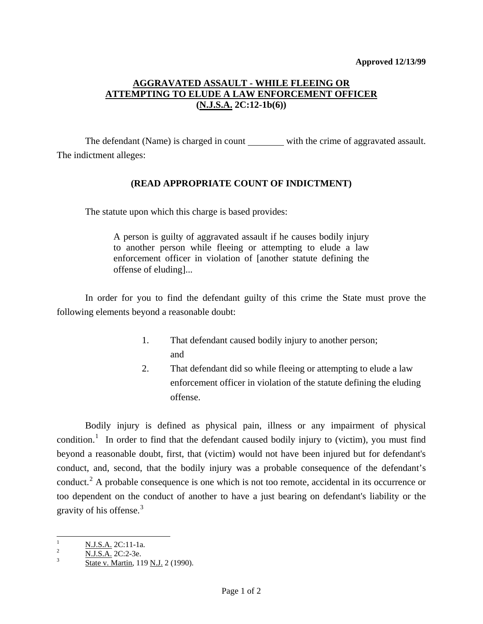## **AGGRAVATED ASSAULT - WHILE FLEEING OR ATTEMPTING TO ELUDE A LAW ENFORCEMENT OFFICER (N.J.S.A. 2C:12-1b(6))**

The defendant (Name) is charged in count with the crime of aggravated assault. The indictment alleges:

## **(READ APPROPRIATE COUNT OF INDICTMENT)**

The statute upon which this charge is based provides:

A person is guilty of aggravated assault if he causes bodily injury to another person while fleeing or attempting to elude a law enforcement officer in violation of [another statute defining the offense of eluding]...

 In order for you to find the defendant guilty of this crime the State must prove the following elements beyond a reasonable doubt:

- 1. That defendant caused bodily injury to another person; and and state and state and state and state and state and state and state and state and state and state and state and state and state and state and state and state and state and state and state and state and state and stat
	- 2. That defendant did so while fleeing or attempting to elude a law enforcement officer in violation of the statute defining the eluding offense.

 Bodily injury is defined as physical pain, illness or any impairment of physical condition.<sup>[1](#page-0-0)</sup> In order to find that the defendant caused bodily injury to (victim), you must find beyond a reasonable doubt, first, that (victim) would not have been injured but for defendant's conduct, and, second, that the bodily injury was a probable consequence of the defendant's conduct.<sup>[2](#page-0-1)</sup> A probable consequence is one which is not too remote, accidental in its occurrence or too dependent on the conduct of another to have a just bearing on defendant's liability or the gravity of his offense.<sup>[3](#page-0-2)</sup>

<span id="page-0-3"></span><span id="page-0-0"></span><sup>|&</sup>lt;br>|<br>|  $\frac{1}{2}$  N.J.S.A. 2C:11-1a.

<span id="page-0-1"></span> $\frac{1}{3}$  N.J.S.A. 2C:2-3e.

<span id="page-0-2"></span>State v. Martin, 119 N.J. 2 (1990).